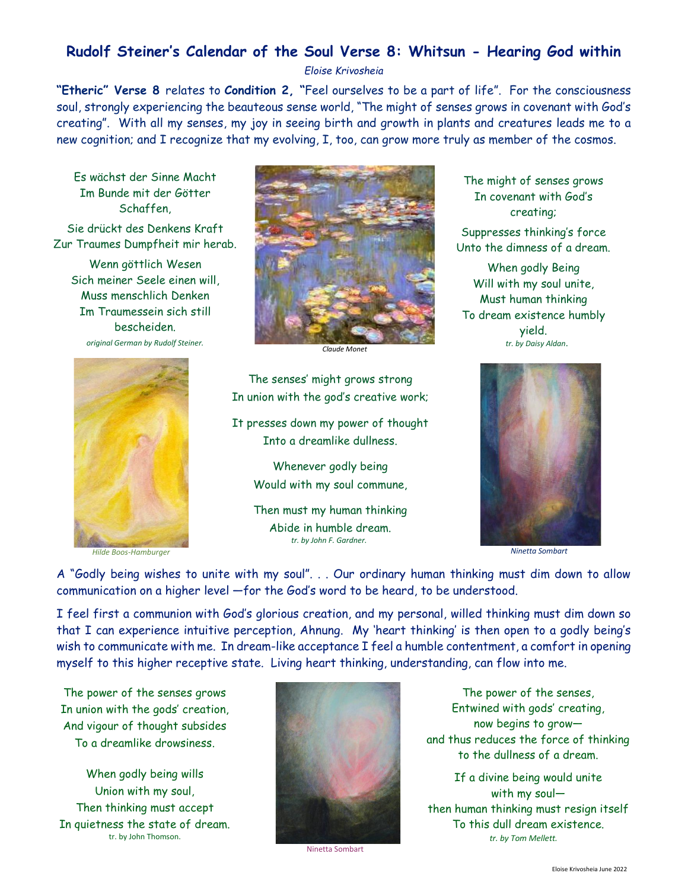# **Rudolf Steiner's Calendar of the Soul Verse 8: Whitsun - Hearing God within**

*Eloise Krivosheia*

**"Etheric" Verse 8** relates to **Condition 2, "**Feel ourselves to be a part of life". For the consciousness soul, strongly experiencing the beauteous sense world, "The might of senses grows in covenant with God's creating". With all my senses, my joy in seeing birth and growth in plants and creatures leads me to a new cognition; and I recognize that my evolving, I, too, can grow more truly as member of the cosmos.

Es wächst der Sinne Macht Im Bunde mit der Götter Schaffen,

Sie drückt des Denkens Kraft Zur Traumes Dumpfheit mir herab.

Wenn göttlich Wesen Sich meiner Seele einen will, Muss menschlich Denken Im Traumessein sich still bescheiden. *original German by Rudolf Steiner.*



 *Hilde Boos-Hamburger*



*Claude Monet*

The senses' might grows strong In union with the god's creative work;

It presses down my power of thought Into a dreamlike dullness.

> Whenever godly being Would with my soul commune,

> Then must my human thinking Abide in humble dream.  *tr. by John F. Gardner.*

The might of senses grows In covenant with God's creating;

Suppresses thinking's force Unto the dimness of a dream.

When godly Being Will with my soul unite, Must human thinking To dream existence humbly yield. *tr. by Daisy Aldan*.



*Ninetta Sombart*

A "Godly being wishes to unite with my soul". . . Our ordinary human thinking must dim down to allow communication on a higher level —for the God's word to be heard, to be understood.

I feel first a communion with God's glorious creation, and my personal, willed thinking must dim down so that I can experience intuitive perception, Ahnung. My 'heart thinking' is then open to a godly being's wish to communicate with me. In dream-like acceptance I feel a humble contentment, a comfort in opening myself to this higher receptive state. Living heart thinking, understanding, can flow into me.

The power of the senses grows In union with the gods' creation, And vigour of thought subsides To a dreamlike drowsiness.

When godly being wills Union with my soul, Then thinking must accept In quietness the state of dream. tr. by John Thomson.



Ninetta Sombart

The power of the senses, Entwined with gods' creating, now begins to grow and thus reduces the force of thinking to the dullness of a dream.

If a divine being would unite with my soul then human thinking must resign itself To this dull dream existence.  *tr. by Tom Mellett.*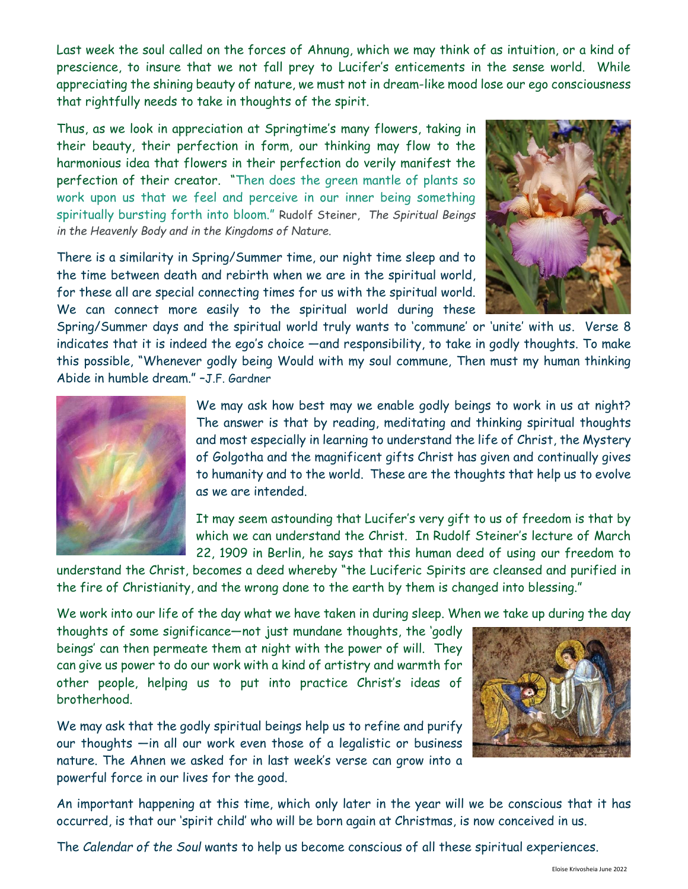Last week the soul called on the forces of Ahnung, which we may think of as intuition, or a kind of prescience, to insure that we not fall prey to Lucifer's enticements in the sense world. While appreciating the shining beauty of nature, we must not in dream-like mood lose our ego consciousness that rightfully needs to take in thoughts of the spirit.

Thus, as we look in appreciation at Springtime's many flowers, taking in their beauty, their perfection in form, our thinking may flow to the harmonious idea that flowers in their perfection do verily manifest the perfection of their creator. "Then does the green mantle of plants so work upon us that we feel and perceive in our inner being something spiritually bursting forth into bloom." Rudolf Steiner, *The Spiritual Beings in the Heavenly Body and in the Kingdoms of Nature.*

There is a similarity in Spring/Summer time, our night time sleep and to the time between death and rebirth when we are in the spiritual world, for these all are special connecting times for us with the spiritual world. We can connect more easily to the spiritual world during these



Spring/Summer days and the spiritual world truly wants to 'commune' or 'unite' with us. Verse 8 indicates that it is indeed the ego's choice —and responsibility, to take in godly thoughts. To make this possible, "Whenever godly being Would with my soul commune, Then must my human thinking Abide in humble dream." –J.F. Gardner



We may ask how best may we enable godly beings to work in us at night? The answer is that by reading, meditating and thinking spiritual thoughts and most especially in learning to understand the life of Christ, the Mystery of Golgotha and the magnificent gifts Christ has given and continually gives to humanity and to the world. These are the thoughts that help us to evolve as we are intended.

It may seem astounding that Lucifer's very gift to us of freedom is that by which we can understand the Christ. In Rudolf Steiner's lecture of March 22, 1909 in Berlin, he says that this human deed of using our freedom to

understand the Christ, becomes a deed whereby "the Luciferic Spirits are cleansed and purified in the fire of Christianity, and the wrong done to the earth by them is changed into blessing."

We work into our life of the day what we have taken in during sleep. When we take up during the day

thoughts of some significance—not just mundane thoughts, the 'godly beings' can then permeate them at night with the power of will. They can give us power to do our work with a kind of artistry and warmth for other people, helping us to put into practice Christ's ideas of brotherhood.

We may ask that the godly spiritual beings help us to refine and purify our thoughts —in all our work even those of a legalistic or business nature. The Ahnen we asked for in last week's verse can grow into a powerful force in our lives for the good.



An important happening at this time, which only later in the year will we be conscious that it has occurred, is that our 'spirit child' who will be born again at Christmas, is now conceived in us.

The *Calendar of the Soul* wants to help us become conscious of all these spiritual experiences.